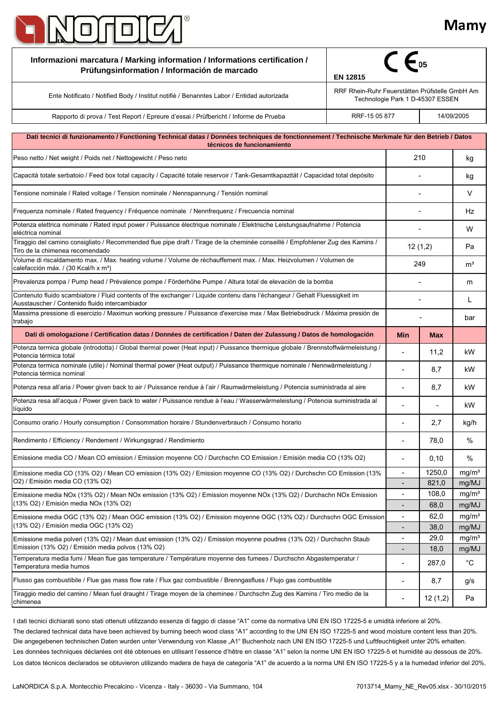

| Informazioni marcatura / Marking information / Informations certification /<br>Prüfungsinformation / Información de marcado                                                                                                                                                                                                              | <b>EN 12815</b>                                                                    |                          |              |                            |
|------------------------------------------------------------------------------------------------------------------------------------------------------------------------------------------------------------------------------------------------------------------------------------------------------------------------------------------|------------------------------------------------------------------------------------|--------------------------|--------------|----------------------------|
| Ente Notificato / Notified Body / Institut notifie / Benanntes Labor / Entidad autorizada                                                                                                                                                                                                                                                | RRF Rhein-Ruhr Feuerstätten Prüfstelle GmbH Am<br>Technologie Park 1 D-45307 ESSEN |                          |              |                            |
| Rapporto di prova / Test Report / Epreure d'essai / Prüfbericht / Informe de Prueba                                                                                                                                                                                                                                                      | RRF-15 05 877                                                                      |                          |              | 14/09/2005                 |
|                                                                                                                                                                                                                                                                                                                                          |                                                                                    |                          |              |                            |
| Dati tecnici di funzionamento / Functioning Technical datas / Données techniques de fonctionnement / Technische Merkmale für den Betrieb / Datos<br>técnicos de funcionamiento                                                                                                                                                           |                                                                                    |                          |              |                            |
| Peso netto / Net weight / Poids net / Nettogewicht / Peso neto                                                                                                                                                                                                                                                                           |                                                                                    | 210                      |              | kg                         |
| Capacità totale serbatoio / Feed box total capacity / Capacité totale reservoir / Tank-Gesamtkapazität / Capacidad total depósito                                                                                                                                                                                                        |                                                                                    |                          |              | kg                         |
| Tensione nominale / Rated voltage / Tension nominale / Nennspannung / Tensión nominal                                                                                                                                                                                                                                                    |                                                                                    |                          |              | V                          |
| Frequenza nominale / Rated frequency / Fréquence nominale / Nennfrequenz / Frecuencia nominal                                                                                                                                                                                                                                            |                                                                                    |                          |              | Hz                         |
| Potenza elettrica nominale / Rated input power / Puissance électrique nominale / Elektrische Leistungsaufnahme / Potencia<br>eléctrica nominal                                                                                                                                                                                           |                                                                                    |                          |              | W                          |
| Tiraggio del camino consigliato / Recommended flue pipe draft / Tirage de la cheminée conseillé / Empfohlener Zug des Kamins /<br>Tiro de la chimenea recomendado                                                                                                                                                                        |                                                                                    | 12(1,2)                  |              | Pa                         |
| Volume di riscaldamento max. / Max. heating volume / Volume de réchauffement max. / Max. Heizvolumen / Volumen de<br>calefacción máx. / (30 Kcal/h x m <sup>3</sup> )                                                                                                                                                                    |                                                                                    | 249                      |              | m <sup>3</sup>             |
| Prevalenza pompa / Pump head / Prévalence pompe / Förderhöhe Pumpe / Altura total de elevación de la bomba                                                                                                                                                                                                                               |                                                                                    |                          |              |                            |
| Contenuto fluido scambiatore / Fluid contents of the exchanger / Liquide contenu dans l'échangeur / Gehalt Fluessigkeit im<br>Ausstauscher / Contenido fluido intercambiador                                                                                                                                                             |                                                                                    |                          |              | L                          |
| Massima pressione di esercizio / Maximun working pressure / Puissance d'exercise max / Max Betriebsdruck / Máxima presión de<br>trabajo                                                                                                                                                                                                  |                                                                                    |                          |              | bar                        |
| Dati di omologazione / Certification datas / Données de certification / Daten der Zulassung / Datos de homologación                                                                                                                                                                                                                      |                                                                                    | <b>Min</b>               | <b>Max</b>   |                            |
| Potenza termica globale (introdotta) / Global thermal power (Heat input) / Puissance thermique globale / Brennstoffwärmeleistung /<br>Potencia térmica total                                                                                                                                                                             |                                                                                    |                          | 11,2         | kW                         |
| Potenza termica nominale (utile) / Nominal thermal power (Heat output) / Puissance thermique nominale / Nennwärmeleistung /<br>Potencia térmica nominal                                                                                                                                                                                  |                                                                                    |                          | 8,7          | kW                         |
| Potenza resa all'aria / Power given back to air / Puissance rendue à l'air / Raumwärmeleistung / Potencia suministrada al aire                                                                                                                                                                                                           |                                                                                    |                          | 8,7          | kW                         |
| Potenza resa all'acqua / Power given back to water / Puissance rendue à l'eau / Wasserwärmeleistung / Potencia suministrada al<br>líquido                                                                                                                                                                                                |                                                                                    |                          |              | kW                         |
| Consumo orario / Hourly consumption / Consommation horaire / Stundenverbrauch / Consumo horario                                                                                                                                                                                                                                          |                                                                                    |                          | 2,7          | kg/h                       |
| Rendimento / Efficiency / Rendement / Wirkungsgrad / Rendimiento                                                                                                                                                                                                                                                                         |                                                                                    | $\overline{\phantom{a}}$ | 78,0         | $\%$                       |
| Emissione media CO / Mean CO emission / Emission moyenne CO / Durchschn CO Emission / Emisión media CO (13% O2)                                                                                                                                                                                                                          |                                                                                    | $\overline{\phantom{a}}$ | 0, 10        | $\%$                       |
| Emissione media CO (13% O2) / Mean CO emission (13% O2) / Emission moyenne CO (13% O2) / Durchschn CO Emission (13%<br>O2) / Emisión media CO (13% O2)                                                                                                                                                                                   |                                                                                    | $\overline{\phantom{a}}$ | 1250,0       | mg/m <sup>3</sup>          |
|                                                                                                                                                                                                                                                                                                                                          |                                                                                    | $\overline{\phantom{0}}$ | 821,0        | mg/MJ                      |
| Emissione media NOx (13% O2) / Mean NOx emission (13% O2) / Emission moyenne NOx (13% O2) / Durchschn NOx Emission<br>(13% O2) / Emisión media NOx (13% O2)                                                                                                                                                                              |                                                                                    | -                        | 108,0        | mg/m <sup>3</sup>          |
|                                                                                                                                                                                                                                                                                                                                          |                                                                                    |                          | 68,0         | mg/MJ                      |
| Emissione media OGC (13% O2) / Mean OGC emission (13% O2) / Emission moyenne OGC (13% O2) / Durchschn OGC Emission<br>(13% O2) / Emisión media OGC (13% O2)<br>Emissione media polveri (13% O2) / Mean dust emission (13% O2) / Emission moyenne poudres (13% O2) / Durchschn Staub<br>Emission (13% O2) / Emisión media polvos (13% O2) |                                                                                    | $\overline{a}$           | 62,0         | mg/m <sup>3</sup><br>mg/MJ |
|                                                                                                                                                                                                                                                                                                                                          |                                                                                    | $\overline{\phantom{a}}$ | 38,0<br>29,0 | mg/m <sup>3</sup>          |
|                                                                                                                                                                                                                                                                                                                                          |                                                                                    |                          | 18,0         | mg/MJ                      |
| Temperatura media fumi / Mean flue gas temperature / Température moyenne des fumees / Durchschn Abgastemperatur /<br>Temperatura media humos                                                                                                                                                                                             |                                                                                    |                          | 287,0        | $^{\circ}C$                |
| Flusso gas combustibile / Flue gas mass flow rate / Flux gaz combustible / Brenngasfluss / Flujo gas combustible                                                                                                                                                                                                                         |                                                                                    | -                        | 8,7          | g/s                        |
| Tiraggio medio del camino / Mean fuel draught / Tirage moyen de la cheminee / Durchschn Zug des Kamins / Tiro medio de la<br>chimenea                                                                                                                                                                                                    |                                                                                    |                          | 12(1,2)      | Pa                         |

The declared technical data have been achieved by burning beech wood class "A1" according to the UNI EN ISO 17225-5 and wood moisture content less than 20%. Los datos técnicos declarados se obtuvieron utilizando madera de haya de categoría "A1" de acuerdo a la norma UNI EN ISO 17225-5 y a la humedad inferior del 20%. Les données techniques déclarées ont été obtenues en utilisant l'essence d'hêtre en classe "A1" selon la norme UNI EN ISO 17225-5 et humidité au dessous de 20%. I dati tecnici dichiarati sono stati ottenuti utilizzando essenza di faggio di classe "A1" come da normativa UNI EN ISO 17225-5 e umidità inferiore al 20%. Die angegebenen technischen Daten wurden unter Verwendung von Klasse "A1" Buchenholz nach UNI EN ISO 17225-5 und Luftfeuchtigkeit unter 20% erhalten.